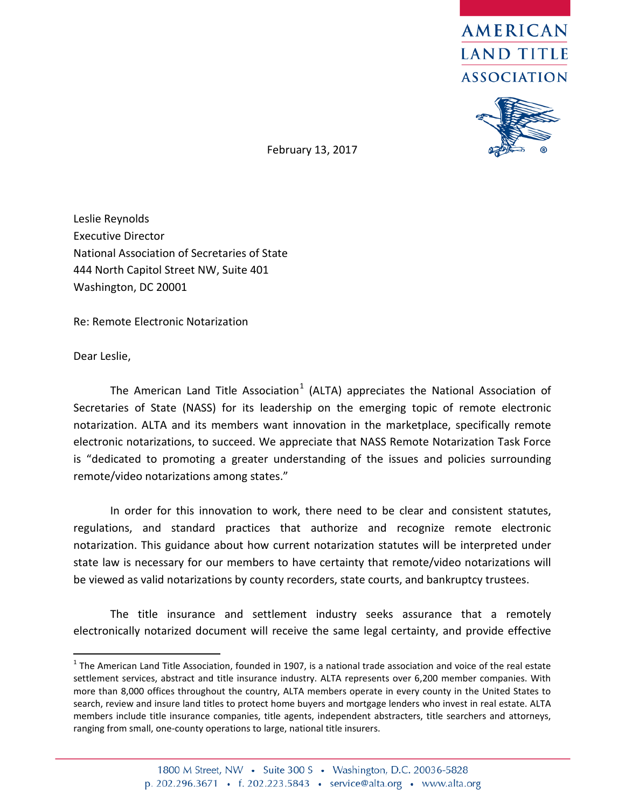



February 13, 2017

Leslie Reynolds Executive Director National Association of Secretaries of State 444 North Capitol Street NW, Suite 401 Washington, DC 20001

Re: Remote Electronic Notarization

Dear Leslie,

The American Land Title Association<sup>[1](#page-0-0)</sup> (ALTA) appreciates the National Association of Secretaries of State (NASS) for its leadership on the emerging topic of remote electronic notarization. ALTA and its members want innovation in the marketplace, specifically remote electronic notarizations, to succeed. We appreciate that NASS Remote Notarization Task Force is "dedicated to promoting a greater understanding of the issues and policies surrounding remote/video notarizations among states."

In order for this innovation to work, there need to be clear and consistent statutes, regulations, and standard practices that authorize and recognize remote electronic notarization. This guidance about how current notarization statutes will be interpreted under state law is necessary for our members to have certainty that remote/video notarizations will be viewed as valid notarizations by county recorders, state courts, and bankruptcy trustees.

The title insurance and settlement industry seeks assurance that a remotely electronically notarized document will receive the same legal certainty, and provide effective

<span id="page-0-0"></span> $1$  The American Land Title Association, founded in 1907, is a national trade association and voice of the real estate settlement services, abstract and title insurance industry. ALTA represents over 6,200 member companies. With more than 8,000 offices throughout the country, ALTA members operate in every county in the United States to search, review and insure land titles to protect home buyers and mortgage lenders who invest in real estate. ALTA members include title insurance companies, title agents, independent abstracters, title searchers and attorneys, ranging from small, one-county operations to large, national title insurers.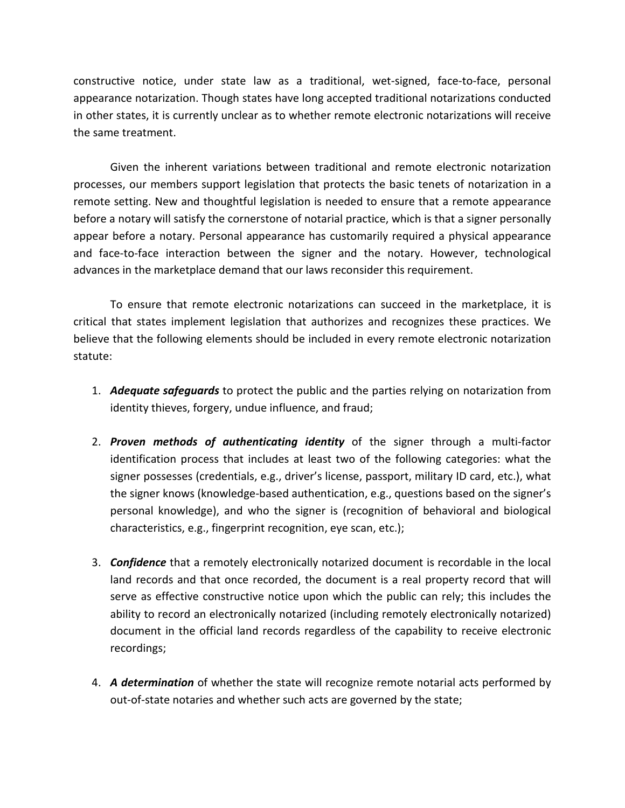constructive notice, under state law as a traditional, wet-signed, face-to-face, personal appearance notarization. Though states have long accepted traditional notarizations conducted in other states, it is currently unclear as to whether remote electronic notarizations will receive the same treatment.

Given the inherent variations between traditional and remote electronic notarization processes, our members support legislation that protects the basic tenets of notarization in a remote setting. New and thoughtful legislation is needed to ensure that a remote appearance before a notary will satisfy the cornerstone of notarial practice, which is that a signer personally appear before a notary. Personal appearance has customarily required a physical appearance and face-to-face interaction between the signer and the notary. However, technological advances in the marketplace demand that our laws reconsider this requirement.

To ensure that remote electronic notarizations can succeed in the marketplace, it is critical that states implement legislation that authorizes and recognizes these practices. We believe that the following elements should be included in every remote electronic notarization statute:

- 1. *Adequate safeguards* to protect the public and the parties relying on notarization from identity thieves, forgery, undue influence, and fraud;
- 2. *Proven methods of authenticating identity* of the signer through a multi-factor identification process that includes at least two of the following categories: what the signer possesses (credentials, e.g., driver's license, passport, military ID card, etc.), what the signer knows (knowledge-based authentication, e.g., questions based on the signer's personal knowledge), and who the signer is (recognition of behavioral and biological characteristics, e.g., fingerprint recognition, eye scan, etc.);
- 3. *Confidence* that a remotely electronically notarized document is recordable in the local land records and that once recorded, the document is a real property record that will serve as effective constructive notice upon which the public can rely; this includes the ability to record an electronically notarized (including remotely electronically notarized) document in the official land records regardless of the capability to receive electronic recordings;
- 4. *A determination* of whether the state will recognize remote notarial acts performed by out-of-state notaries and whether such acts are governed by the state;